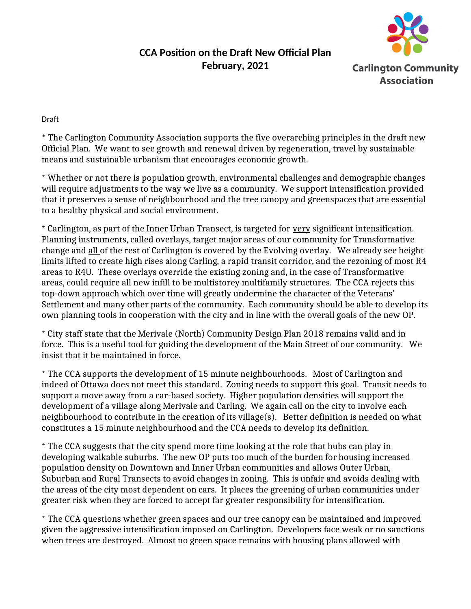## **Carlington Community Association**

## **CCA Position on the Draft New Official Plan February, 2021**

Draft

\* The Carlington Community Association supports the five overarching principles in the draft new Official Plan. We want to see growth and renewal driven by regeneration, travel by sustainable means and sustainable urbanism that encourages economic growth.

\* Whether or not there is population growth, environmental challenges and demographic changes will require adjustments to the way we live as a community. We support intensification provided that it preserves a sense of neighbourhood and the tree canopy and greenspaces that are essential to a healthy physical and social environment.

\* Carlington, as part of the Inner Urban Transect, is targeted for very significant intensification. Planning instruments, called overlays, target major areas of our community for Transformative change and all of the rest of Carlington is covered by the Evolving overlay. We already see height limits lifted to create high rises along Carling, a rapid transit corridor, and the rezoning of most R4 areas to R4U. These overlays override the existing zoning and, in the case of Transformative areas, could require all new infill to be multistorey multifamily structures. The CCA rejects this top-down approach which over time will greatly undermine the character of the Veterans' Settlement and many other parts of the community. Each community should be able to develop its own planning tools in cooperation with the city and in line with the overall goals of the new OP.

\* City staff state that the Merivale (North) Community Design Plan 2018 remains valid and in force. This is a useful tool for guiding the development of the Main Street of our community. We insist that it be maintained in force.

\* The CCA supports the development of 15 minute neighbourhoods. Most of Carlington and indeed of Ottawa does not meet this standard. Zoning needs to support this goal. Transit needs to support a move away from a car-based society. Higher population densities will support the development of a village along Merivale and Carling. We again call on the city to involve each neighbourhood to contribute in the creation of its village(s). Better definition is needed on what constitutes a 15 minute neighbourhood and the CCA needs to develop its definition.

\* The CCA suggests that the city spend more time looking at the role that hubs can play in developing walkable suburbs. The new OP puts too much of the burden for housing increased population density on Downtown and Inner Urban communities and allows Outer Urban, Suburban and Rural Transects to avoid changes in zoning. This is unfair and avoids dealing with the areas of the city most dependent on cars. It places the greening of urban communities under greater risk when they are forced to accept far greater responsibility for intensification.

\* The CCA questions whether green spaces and our tree canopy can be maintained and improved given the aggressive intensification imposed on Carlington. Developers face weak or no sanctions when trees are destroyed. Almost no green space remains with housing plans allowed with